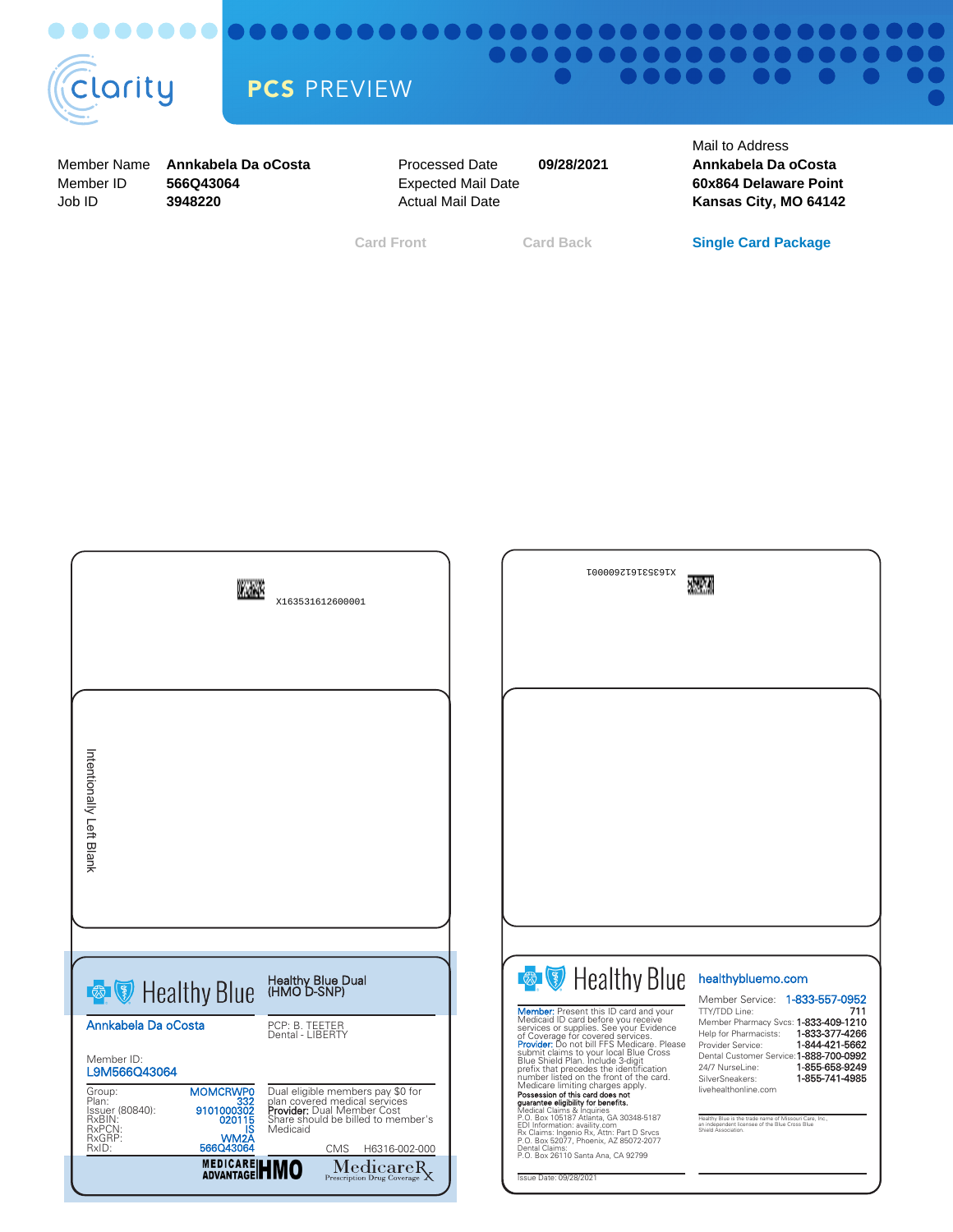

## <del>...............................</del> DOI ................. PCS PREVIEW

Member Name Member ID Job ID

**566Q43064 3948220**

Processed Date Expected Mail Date Actual Mail Date **Annkabela Da oCosta Annkabela Da oCosta**

**09/28/2021**

Mail to Address **60x864 Delaware Point Kansas City, MO 64142**

**Card Front Card Back Single Card Package**